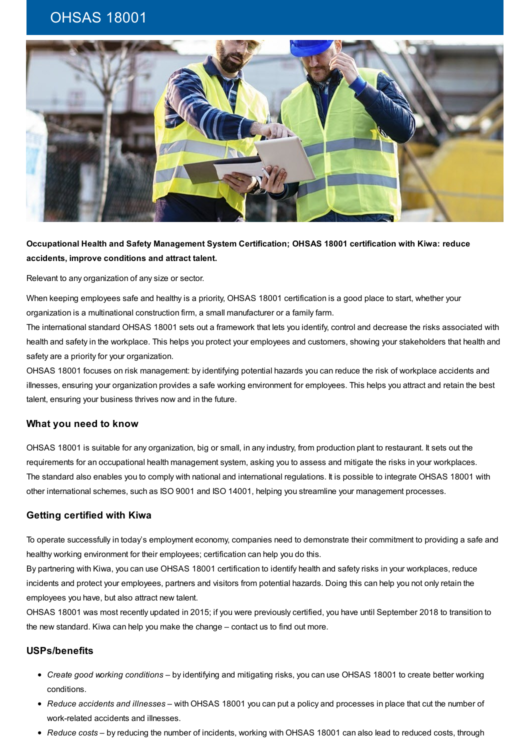## OHSAS 18001



**Occupational Health and Safety Management System Certification; OHSAS 18001 certification with Kiwa: reduce accidents, improve conditions and attract talent.**

Relevant to any organization of any size or sector.

When keeping employees safe and healthy is a priority, OHSAS 18001 certification is a good place to start, whether your organization is a multinational construction firm, a small manufacturer or a family farm.

The international standard OHSAS 18001 sets out a framework that lets you identify, control and decrease the risks associated with health and safety in the workplace. This helps you protect your employees and customers, showing your stakeholders that health and safety are a priority for your organization.

OHSAS 18001 focuses on risk management: by identifying potential hazards you can reduce the risk of workplace accidents and illnesses, ensuring your organization provides a safe working environment for employees. This helps you attract and retain the best talent, ensuring your business thrives now and in the future.

## **What you need to know**

OHSAS 18001 is suitable for any organization, big or small, in any industry, from production plant to restaurant. It sets out the requirements for an occupational health management system, asking you to assess and mitigate the risks in your workplaces. The standard also enables you to comply with national and international regulations. It is possible to integrate OHSAS 18001 with other international schemes, such as ISO 9001 and ISO 14001, helping you streamline your management processes.

## **Getting certified with Kiwa**

To operate successfully in today's employment economy, companies need to demonstrate their commitment to providing a safe and healthy working environment for their employees; certification can help you do this.

By partnering with Kiwa, you can use OHSAS 18001 certification to identify health and safety risks in your workplaces, reduce incidents and protect your employees, partners and visitors from potential hazards. Doing this can help you not only retain the employees you have, but also attract new talent.

OHSAS 18001 was most recently updated in 2015; if you were previously certified, you have until September 2018 to transition to the new standard. Kiwa can help you make the change – contact us to find out more.

## **USPs/benefits**

- *Create good working conditions* by identifying and mitigating risks, you can use OHSAS 18001 to create better working conditions.
- *Reduce accidents and illnesses* with OHSAS 18001 you can put a policy and processes in place that cut the number of work-related accidents and illnesses.
- *Reduce costs* by reducing the number of incidents, working with OHSAS 18001 can also lead to reduced costs, through